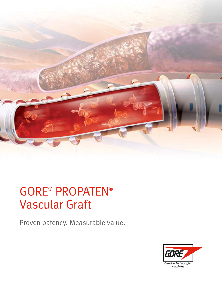

# GORE® PROPATEN® Vascular Graft

Proven patency. Measurable value.

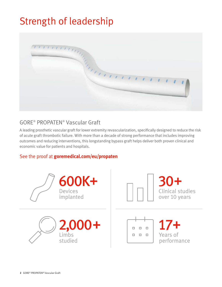## Strength of leadership



### GORE® PROPATEN® Vascular Graft

A leading prosthetic vascular graft for lower extremity revascularization, specifically designed to reduce the risk of acute graft thrombotic failure. With more than a decade of strong performance that includes improving outcomes and reducing interventions, this longstanding bypass graft helps deliver both proven clinical and economic value for patients and hospitals.

### See the proof at **goremedical.com/eu/propaten**

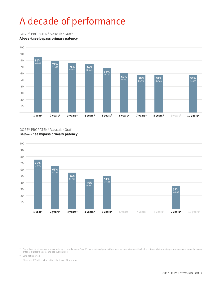## A decade of performance

#### GORE® PROPATEN® Vascular Graft

#### **Above-knee bypass primary patency**



#### GORE® PROPATEN® Vascular Graft **Below-knee bypass primary patency**



\* Overall weighted average primary patency is based on data from 15 peer-reviewed publications meeting pre-determined inclusion criteria. Visit propatenperformance.com to see inclusion<br>criteria, explore the data, and see

† Data not reported.

Study size (N) reflects the initial cohort size of the study.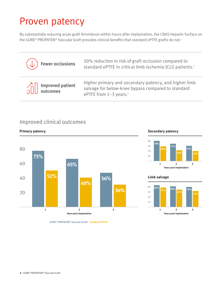## Proven patency

By substantially reducing acute graft thrombosis within hours after implantation, the CBAS Heparin Surface on the GORE® PROPATEN® Vascular Graft provides clinical benefits that standard ePTFE grafts do not. 1

| $(\downarrow)$ Fewer occlusions           | 50% reduction in risk of graft occlusion compared to<br>standard ePTFE in critical limb ischemia (CLI) patients. <sup>2</sup>                     |
|-------------------------------------------|---------------------------------------------------------------------------------------------------------------------------------------------------|
| $\bigcap_{n=1}^{\infty}$ Improved patient | Higher primary and secondary patency, and higher limb<br>salvage for below-knee bypass compared to standard<br>ePTFE from 1-3 years. <sup>3</sup> |

### Improved clinical outcomes

#### **Primary patency**



#### **Secondary patency**



#### **Limb salvage**



**GORE® PROPATEN® Vascular Graft<sup>3</sup>Standard ePTFE<sup>3</sup>**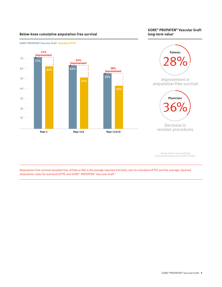#### **long-term value Below-knee cumulative amputation-free survival \***

**GORE® PROPATEN® Vascular Graft**





\* Based on the 3-year published clinical performance and economic model.

Amputation-free survival (avoided loss of limb or life) is the average reported mortality rate for standard ePTFE and the average reported amputation rates for standard ePTFE and GORE® PROPATEN® Vascular Graft.<sup>4</sup>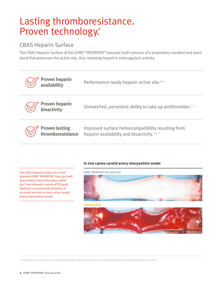## Lasting thromboresistance. Proven technology.\*

### CBAS Heparin Surface

The CBAS Heparin Surface of the GORE® PROPATEN® Vascular Graft consists of a proprietary covalent end-point bond that preserves the active site, thus retaining heparin's anticoagulant activity.

| <b>Proven heparin<br/>availability</b>      | Performance-ready heparin active site. <sup>4,6</sup>                                                        |
|---------------------------------------------|--------------------------------------------------------------------------------------------------------------|
| <b>Proven heparin<br/>bioactivity</b>       | Unmatched, persistent ability to take up antithrombin. <sup>1,5</sup>                                        |
| <b>Proven lasting<br/>thromboresistance</b> | Improved surface hemocompatibility resulting from<br>heparin availability and bioactivity. <sup>1, 4-7</sup> |

The CBAS Heparin Surface of a 3 mm diameter GORE® PROPATEN® Vascular Graft (top) remains free of thrombus, while the 3 mm diameter control ePTFE graft (bottom) is covered with thrombus in an acute two-hour in vivo canine carotid artery interposition model.

#### **In vivo canine carotid artery interposition model**

**GORE® PROPATEN® Vascular Graft**



**Standard ePTFE**



\* CBAS Heparin Surface. W. L. Gore & Associates Web site. https://www.goremedical.com/eu/cbas/references. Accessed September 25, 2019.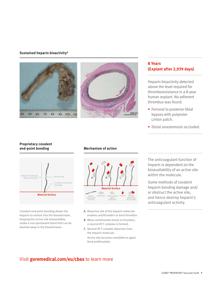#### **Sustained heparin bioactivity<sup>8</sup>**





#### **8 Years (Explant after 2,939 days)**

Heparin bioactivity detected above the level required for thromboresistance in a 8-year human explant. No adherent thrombus was found.

- Femoral to posterior tibial bypass with polyester Linton patch.
- Distal anastomosis occluded.

#### **Proprietary covalent end-point bonding**



Covalent end-point bonding allows the heparin to extend into the bloodstream, keeping the active site bioavailable, unlike a non-permanent bond that can be washed away in the bloodstream.

#### **Mechanism of action**



- **A.** Bioactive site of the heparin molecule enables antithrombin to bind thrombin.
- **B.** When antithrombin binds to thrombin, a neutral AT-T complex is formed.
- **C.** Neutral AT-T complex detaches from the heparin molecule.
	- Active site becomes available to again bind antithrombin.

The anticoagulant function of heparin is dependent on the bioavailability of an active site within the molecule.

Some methods of covalent heparin bonding damage and/ or obstruct the active site, and hence destroy heparin's anticoagulant activity.

### Visit **goremedical.com/eu/cbas** to learn more